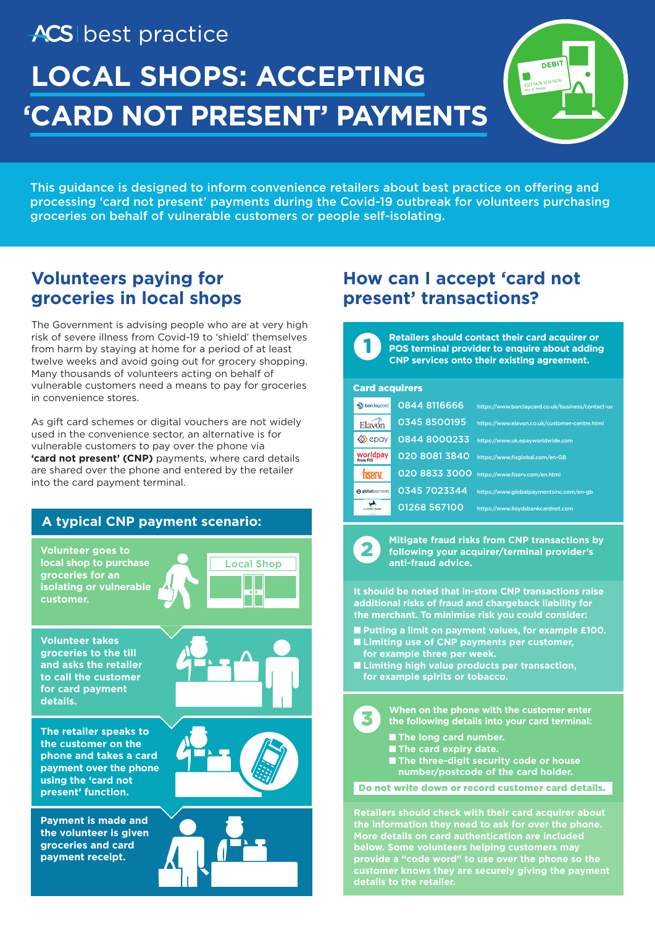# ACS best practice **LOCAL SHOPS: ACCEPTING 'CARD NOT PRESENT' PAYMENTS**



This guidance is designed to inform convenience retailers about best practice on offering and processing 'card not present' payments during the Covid-19 outbreak for volunteers purchasing groceries on behalf of vulnerable customers or people self-isolating.

## **Volunteers paying for groceries in local shops**

The Government is advising people who are at very high risk of severe illness from Covid-19 to 'shield' themselves from harm by staying at home for a period of at least twelve weeks and avoid going out for grocery shopping. Many thousands of volunteers acting on behalf of vulnerable customers need a means to pay for groceries in convenience stores.

As gift card schemes or digital vouchers are not widely used in the convenience sector, an alternative is for vulnerable customers to pay over the phone via 'card not present' (CNP) payments, where card details are shared over the phone and entered by the retailer into the card payment terminal.

### **A typical CNP payment scenario:**

**Volunteer goes to local shop to purchase groceries for an isolating or vulnerable customer.**



**Volunteer takes groceries to the till and asks the retailer to call the customer for card payment details.**

**The retailer speaks to the customer on the phone and takes a card payment over the phone using the 'card not present' function.**

**Payment is made and the volunteer is given groceries and card payment receipt.**







## **How can I accept 'card not present' transactions?**

**Retailers should contact their card acquirer or POS terminal provider to enquire about adding CNP services onto their existing agreement.** 

#### Card acquirers

1

| barclaycard             | 0844 8116666  | https://www.barclaycard.co.uk/business/contact-us |
|-------------------------|---------------|---------------------------------------------------|
| Elavon                  | 0345 8500195  | https://www.elavon.co.uk/customer-centre.html     |
| $\otimes$ epay          | 0844 8000233  | https://www.uk.epayworldwide.com                  |
| <b>worldpay</b>         | 020 8081 3840 | https://www.fisglobal.com/en-GB                   |
| <b>ISPIV</b>            | 020 8833 3000 | https://www.fiserv.com/en.html                    |
| <b>@</b> globalpayments | 0345 7023344  | https://www.globalpaymentsinc.com/en-gb           |
|                         | 01268 567100  | https://www.llovdsbankcardnet.com                 |



3

**Mitigate fraud risks from CNP transactions by following your acquirer/terminal provider's anti-fraud advice.**

**It should be noted that in-store CNP transactions raise additional risks of fraud and chargeback liability for the merchant. To minimise risk you could consider:**

- Putting a limit on payment values, for example £100.
- **Limiting use of CNP payments per customer, for example three per week.**
- Limiting high value products per transaction, **for example spirits or tobacco.**

**When on the phone with the customer enter the following details into your card terminal:**

- **The long card number.**
- **The card expiry date.**
- The three-digit security code or house **number/postcode of the card holder.**

Do not write down or record customer card details.

**Retailers should check with their card acquirer about the information they need to ask for over the phone. below. Some volunteers helping customers may provide a "code word" to use over the phone so the customer knows they are securely giving the payment details to the retailer.**